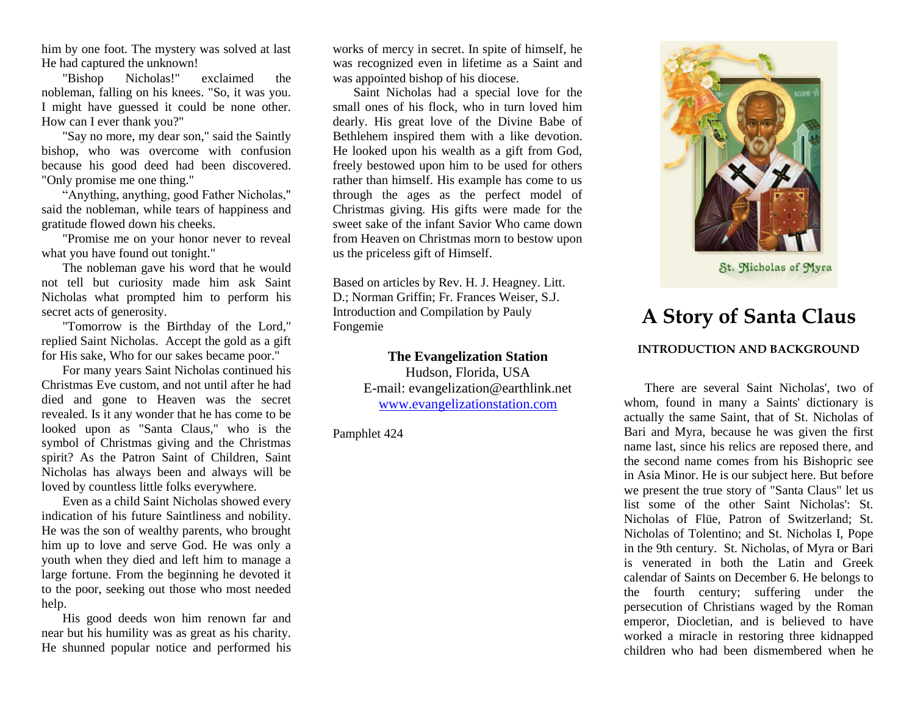him by one foot. The mystery was solved at last He had captured the unknown!

"Bishop Nicholas!" exclaimed the nobleman, falling on his knees. "So, it was you. I might have guessed it could be none other. How can I ever thank you?"

"Say no more, my dear son," said the Saintly bishop, who was overcome with confusion because his good deed had been discovered. "Only promise me one thing."

"Anything, anything, good Father Nicholas," said the nobleman, while tears of happiness and gratitude flowed down his cheeks.

"Promise me on your honor never to reveal what you have found out tonight."

The nobleman gave his word that he would not tell but curiosity made him ask Saint Nicholas what prompted him to perform his secret acts of generosity.

"Tomorrow is the Birthday of the Lord," replied Saint Nicholas. Accept the gold as a gift for His sake, Who for our sakes became poor."

For many years Saint Nicholas continued his Christmas Eve custom, and not until after he had died and gone to Heaven was the secret revealed. Is it any wonder that he has come to be looked upon as "Santa Claus," who is the symbol of Christmas giving and the Christmas spirit? As the Patron Saint of Children, Saint Nicholas has always been and always will be loved by countless little folks everywhere.

Even as a child Saint Nicholas showed every indication of his future Saintliness and nobility. He was the son of wealthy parents, who brought him up to love and serve God. He was only a youth when they died and left him to manage a large fortune. From the beginning he devoted it to the poor, seeking out those who most needed help.

His good deeds won him renown far and near but his humility was as great as his charity. He shunned popular notice and performed his

works of mercy in secret. In spite of himself, he was recognized even in lifetime as a Saint and was appointed bishop of his diocese.

Saint Nicholas had a special love for the small ones of his flock, who in turn loved him dearly. His great love of the Divine Babe of Bethlehem inspired them with a like devotion. He looked upon his wealth as a gift from God, freely bestowed upon him to be used for others rather than himself. His example has come to us through the ages as the perfect model of Christmas giving. His gifts were made for the sweet sake of the infant Savior Who came down from Heaven on Christmas morn to bestow upon us the priceless gift of Himself.

Based on articles by Rev. H. J. Heagney. Litt. D.; Norman Griffin; Fr. Frances Weiser, S.J. Introduction and Compilation by Pauly Fongemie

> **The Evangelization Station**  Hudson, Florida, USA E-mail: evangelization@earthlink.net [www.evangelizationstation.com](http://www.pjpiisoe.org/)

Pamphlet 424



St. Nicholas of Myra

## **A Story of Santa Claus**

## **INTRODUCTION AND BACKGROUND**

There are several Saint Nicholas', two of whom, found in many a Saints' dictionary is actually the same Saint, that of St. Nicholas of Bari and Myra, because he was given the first name last, since his relics are reposed there, and the second name comes from his Bishopric see in Asia Minor. He is our subject here. But before we present the true story of "Santa Claus" let us list some of the other Saint Nicholas': St. Nicholas of Flüe, Patron of Switzerland; St. Nicholas of Tolentino; and St. Nicholas I, Pope in the 9th century. St. Nicholas, of Myra or Bari is venerated in both the Latin and Greek calendar of Saints on December 6. He belongs to the fourth century; suffering under the persecution of Christians waged by the Roman emperor, Diocletian, and is believed to have worked a miracle in restoring three kidnapped children who had been dismembered when he